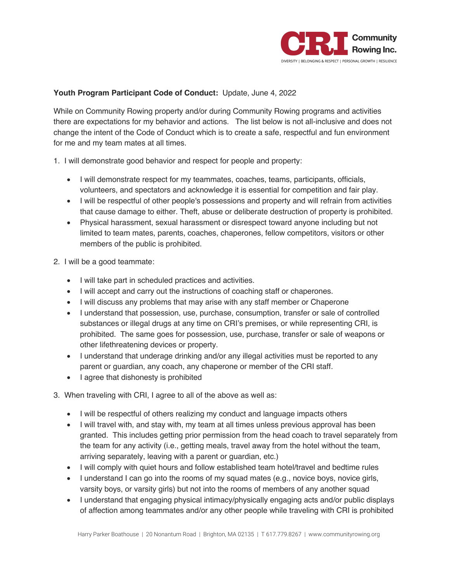

## **Youth Program Participant Code of Conduct:** Update, June 4, 2022

While on Community Rowing property and/or during Community Rowing programs and activities there are expectations for my behavior and actions. The list below is not all-inclusive and does not change the intent of the Code of Conduct which is to create a safe, respectful and fun environment for me and my team mates at all times.

- 1. I will demonstrate good behavior and respect for people and property:
	- I will demonstrate respect for my teammates, coaches, teams, participants, officials, volunteers, and spectators and acknowledge it is essential for competition and fair play.
	- I will be respectful of other people's possessions and property and will refrain from activities that cause damage to either. Theft, abuse or deliberate destruction of property is prohibited.
	- Physical harassment, sexual harassment or disrespect toward anyone including but not limited to team mates, parents, coaches, chaperones, fellow competitors, visitors or other members of the public is prohibited.
- 2. I will be a good teammate:
	- I will take part in scheduled practices and activities.
	- I will accept and carry out the instructions of coaching staff or chaperones.
	- I will discuss any problems that may arise with any staff member or Chaperone
	- I understand that possession, use, purchase, consumption, transfer or sale of controlled substances or illegal drugs at any time on CRI's premises, or while representing CRI, is prohibited. The same goes for possession, use, purchase, transfer or sale of weapons or other lifethreatening devices or property.
	- I understand that underage drinking and/or any illegal activities must be reported to any parent or guardian, any coach, any chaperone or member of the CRI staff.
	- I agree that dishonesty is prohibited
- 3. When traveling with CRI, I agree to all of the above as well as:
	- I will be respectful of others realizing my conduct and language impacts others
	- I will travel with, and stay with, my team at all times unless previous approval has been granted. This includes getting prior permission from the head coach to travel separately from the team for any activity (i.e., getting meals, travel away from the hotel without the team, arriving separately, leaving with a parent or guardian, etc.)
	- I will comply with quiet hours and follow established team hotel/travel and bedtime rules
	- I understand I can go into the rooms of my squad mates (e.g., novice boys, novice girls, varsity boys, or varsity girls) but not into the rooms of members of any another squad
	- I understand that engaging physical intimacy/physically engaging acts and/or public displays of affection among teammates and/or any other people while traveling with CRI is prohibited